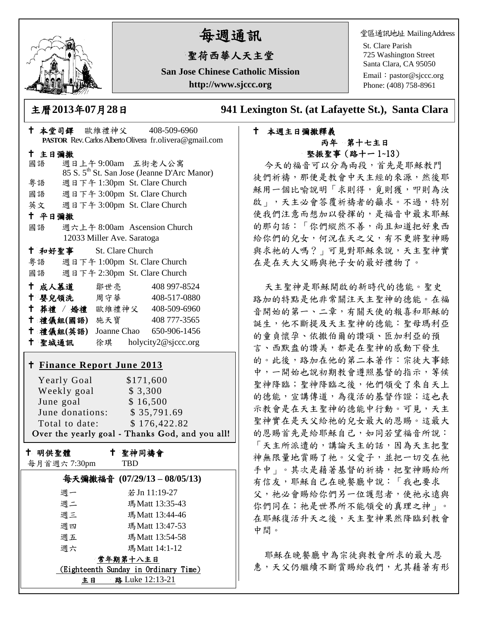

# 每週通訊

# 聖荷西華人天主堂

**San Jose Chinese Catholic Mission http://www.sjccc.org**

堂區通訊地址 MailingAddress

St. Clare Parish 725 Washington Street Santa Clara, CA 95050

Email: [pastor@sjccc.org](mailto:pastor@sjccc.org) Phone: (408) 758-8961

主曆**2013**年**07**月**28**日 **941 Lexington St. (at Lafayette St.), Santa Clara** 

#### 本週主日彌撒釋義 丙年 第十七主日 堅振聖事(路十一 1~13)

今天的福音可以分為兩段,首先是耶穌教門 徒們祈禱,那便是教會中天主經的來源,然後耶 穌用一個比喻說明「求則得,覓則獲,叩則為汝 啟」,天主必會答覆祈禱者的籲求。不過,特別 使我們注意而想加以發揮的,是福音中最末耶穌 的那句話:「你們縱然不善,尚且知道把好東西 給你們的兒女,何況在天之父,有不更將聖神賜 與求祂的人嗎?」可見對耶穌來說,天主聖神實 在是在天大父賜與祂子女的最好禮物了。

天主聖神是耶穌開啟的新時代的德能。聖史 路加的特點是他非常關注天主聖神的德能。在福 音開始的第一、二章,有關天使的報喜和耶穌的 誕生,他不斷提及天主聖神的德能:聖母瑪利亞 的童貞懷孕、依撒伯爾的讚頌、匝加利亞的預 言、西默盎的讚美,都是在聖神的感動下發生 的。此後,路加在他的第二本著作:宗徒大事錄 中,一開始也說初期教會遵照基督的指示,等候 聖神降臨;聖神降臨之後,他們領受了來自天上 的德能,宣講傳道,為復活的基督作證;這也表 示教會是在天主聖神的德能中行動。可見,天主 聖神實在是天父給祂的兒女最大的恩賜。這最大 的恩賜首先是給耶穌自己,如同若望福音所說: 「天主所派遣的,講論天主的話,因為天主把聖 神無限量地賞賜了祂。父愛子,並把一切交在祂 手中」。其次是藉著基督的祈禱, 把聖神賜給所 有信友,耶穌自己在晚餐廳中說:「我也要求 父, 祂必會賜給你們另一位護慰者, 使祂永遠與 你們同在;祂是世界所不能領受的真理之神」。 在耶穌復活升天之後,天主聖神果然降臨到教會 中間。

耶穌在晚餐廳中為宗徒與教會所求的最大恩 惠,天父仍繼續不斷賞賜給我們,尤其藉著有形

| † 本堂司鐸 歐維禮神父     408-509-6960<br>PASTOR Rev. Carlos Alberto Olivera fr.olivera@gmail.com |  |
|------------------------------------------------------------------------------------------|--|
| 十 主日彌撒                                                                                   |  |
| 週日上午9:00am 五街老人公寓<br>國語                                                                  |  |
| 85 S. 5 <sup>th</sup> St. San Jose (Jeanne D'Arc Manor)                                  |  |
| 週日下午 1:30pm St. Clare Church<br>粤語                                                       |  |
| 國語 週日下午 3:00pm St. Clare Church                                                          |  |
| 英文 週日下午 3:00pm St. Clare Church                                                          |  |
| 十 平日彌撒                                                                                   |  |
| 國語<br>週六上午 8:00am Ascension Church                                                       |  |
| 12033 Miller Ave. Saratoga                                                               |  |
| 十 和好聖事<br>St. Clare Church                                                               |  |
| 粤語 週日下午 1:00pm St. Clare Church                                                          |  |
| 國語 週日下午 2:30pm St. Clare Church                                                          |  |
| <sup>†</sup> 成人慕道 鄒世亮 408 997-8524                                                       |  |
| † 嬰兒領洗 周守華 408-517-0880                                                                  |  |
|                                                                                          |  |
| + 葬禮 / 婚禮 歐維禮神父 408-509-6960<br>+ 禮儀組(國語) 施天寶 408777-3565                                |  |
| † 禮儀組(英語) Joanne Chao 650-906-1456                                                       |  |
| + 聖城通訊 徐琪 holycity2@sjccc.org                                                            |  |
|                                                                                          |  |
| <b>† Finance Report June 2013</b>                                                        |  |
| <b>Yearly Goal</b><br>\$171,600                                                          |  |
| Weekly goal<br>\$3,300                                                                   |  |
| \$16,500<br>June goal                                                                    |  |
| June donations: \$35,791.69                                                              |  |
| \$176,422.82<br>Total to date:                                                           |  |
| Over the yearly goal - Thanks God, and you all!                                          |  |
| ← 聖神同禱會<br>十 明供聖體                                                                        |  |
| 每月首週六 7:30pm<br><b>TBD</b>                                                               |  |
| 每天彌撒福音 (07/29/13-08/05/13)                                                               |  |
| 若Jn 11:19-27<br>週一                                                                       |  |
| 瑪Matt 13:35-43<br>週二                                                                     |  |
| 週三<br>瑪Matt 13:44-46                                                                     |  |
| 瑪Matt 13:47-53<br>週四                                                                     |  |
| 瑪Matt 13:54-58<br>週五                                                                     |  |
|                                                                                          |  |
| 瑪Matt 14:1-12<br>週六                                                                      |  |

常年期第十八主日 (Eighteenth Sunday in Ordinary Time) 主日 路 Luke 12:13-21